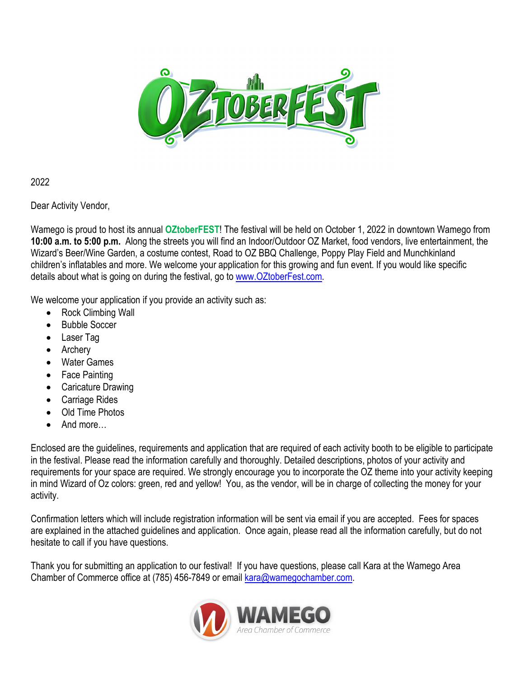

2022

Dear Activity Vendor,

Wamego is proud to host its annual **OZtoberFEST**! The festival will be held on October 1, 2022 in downtown Wamego from **10:00 a.m. to 5:00 p.m.** Along the streets you will find an Indoor/Outdoor OZ Market, food vendors, live entertainment, the Wizard's Beer/Wine Garden, a costume contest, Road to OZ BBQ Challenge, Poppy Play Field and Munchkinland children's inflatables and more. We welcome your application for this growing and fun event. If you would like specific details about what is going on during the festival, go to [www.OZtoberFest.com.](http://www.oztoberfest.com/)

We welcome your application if you provide an activity such as:

- Rock Climbing Wall
- Bubble Soccer
- Laser Tag
- **Archery**
- **Water Games**
- **Face Painting**
- Caricature Drawing
- Carriage Rides
- Old Time Photos
- And more…

Enclosed are the guidelines, requirements and application that are required of each activity booth to be eligible to participate in the festival. Please read the information carefully and thoroughly. Detailed descriptions, photos of your activity and requirements for your space are required. We strongly encourage you to incorporate the OZ theme into your activity keeping in mind Wizard of Oz colors: green, red and yellow! You, as the vendor, will be in charge of collecting the money for your activity.

Confirmation letters which will include registration information will be sent via email if you are accepted. Fees for spaces are explained in the attached guidelines and application. Once again, please read all the information carefully, but do not hesitate to call if you have questions.

Thank you for submitting an application to our festival! If you have questions, please call Kara at the Wamego Area Chamber of Commerce office at (785) 456-7849 or email [kara@wamegochamber.com.](mailto:kara@wamegochamber.com)